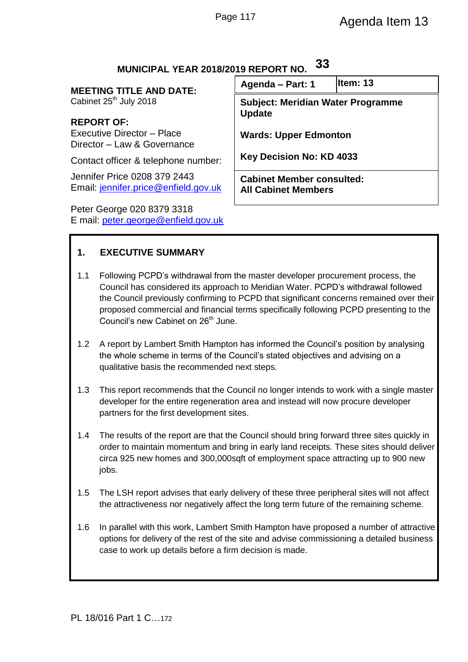| MUNIUM AL TLAN ZUTOZUTJ NEI UNT NU.                                  |                                                                |           |
|----------------------------------------------------------------------|----------------------------------------------------------------|-----------|
| <b>MEETING TITLE AND DATE:</b><br>Cabinet 25 <sup>th</sup> July 2018 | Agenda - Part: 1                                               | lltem: 13 |
|                                                                      | <b>Subject: Meridian Water Programme</b>                       |           |
| <b>REPORT OF:</b>                                                    | <b>Update</b>                                                  |           |
| Executive Director - Place<br>Director - Law & Governance            | <b>Wards: Upper Edmonton</b>                                   |           |
| Contact officer & telephone number:                                  | Key Decision No: KD 4033                                       |           |
| Jennifer Price 0208 379 2443<br>Email: jennifer.price@enfield.gov.uk | <b>Cabinet Member consulted:</b><br><b>All Cabinet Members</b> |           |
| Peter George 020 8379 3318                                           |                                                                |           |

# **MUNICIPAL YEAR 2018/2019 REPORT NO. 33**

**1. EXECUTIVE SUMMARY**

E mail: [peter.george@enfield.gov.uk](mailto:peter.george@enfield.gov.uk)

- 1.1 Following PCPD's withdrawal from the master developer procurement process, the Council has considered its approach to Meridian Water. PCPD's withdrawal followed the Council previously confirming to PCPD that significant concerns remained over their proposed commercial and financial terms specifically following PCPD presenting to the Council's new Cabinet on 26<sup>th</sup> June.
- 1.2 A report by Lambert Smith Hampton has informed the Council's position by analysing the whole scheme in terms of the Council's stated objectives and advising on a qualitative basis the recommended next steps.
- 1.3 This report recommends that the Council no longer intends to work with a single master developer for the entire regeneration area and instead will now procure developer partners for the first development sites.
- 1.4 The results of the report are that the Council should bring forward three sites quickly in order to maintain momentum and bring in early land receipts. These sites should deliver circa 925 new homes and 300,000sqft of employment space attracting up to 900 new jobs.
- 1.5 The LSH report advises that early delivery of these three peripheral sites will not affect the attractiveness nor negatively affect the long term future of the remaining scheme.
- 1.6 In parallel with this work, Lambert Smith Hampton have proposed a number of attractive options for delivery of the rest of the site and advise commissioning a detailed business case to work up details before a firm decision is made.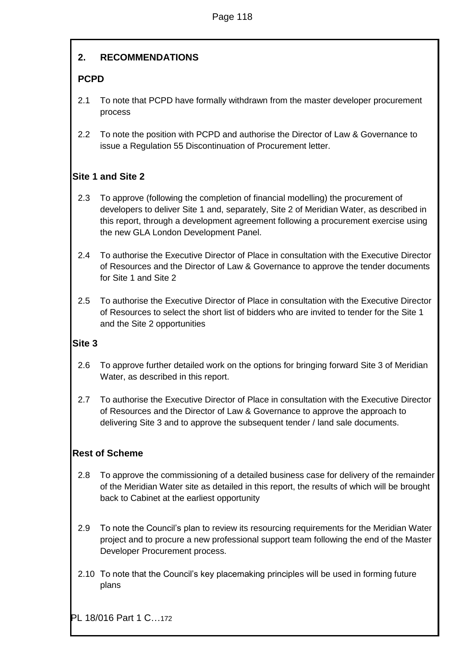# **2. RECOMMENDATIONS**

# **PCPD**

- 2.1 To note that PCPD have formally withdrawn from the master developer procurement process
- 2.2 To note the position with PCPD and authorise the Director of Law & Governance to issue a Regulation 55 Discontinuation of Procurement letter.

# **Site 1 and Site 2**

- 2.3 To approve (following the completion of financial modelling) the procurement of developers to deliver Site 1 and, separately, Site 2 of Meridian Water, as described in this report, through a development agreement following a procurement exercise using the new GLA London Development Panel.
- 2.4 To authorise the Executive Director of Place in consultation with the Executive Director of Resources and the Director of Law & Governance to approve the tender documents for Site 1 and Site 2
- 2.5 To authorise the Executive Director of Place in consultation with the Executive Director of Resources to select the short list of bidders who are invited to tender for the Site 1 and the Site 2 opportunities

# **Site 3**

- 2.6 To approve further detailed work on the options for bringing forward Site 3 of Meridian Water, as described in this report.
- 2.7 To authorise the Executive Director of Place in consultation with the Executive Director of Resources and the Director of Law & Governance to approve the approach to delivering Site 3 and to approve the subsequent tender / land sale documents.

# **Rest of Scheme**

- 2.8 To approve the commissioning of a detailed business case for delivery of the remainder of the Meridian Water site as detailed in this report, the results of which will be brought back to Cabinet at the earliest opportunity
- 2.9 To note the Council's plan to review its resourcing requirements for the Meridian Water project and to procure a new professional support team following the end of the Master Developer Procurement process.
- 2.10 To note that the Council's key placemaking principles will be used in forming future plans

PL 18/016 Part 1 C…172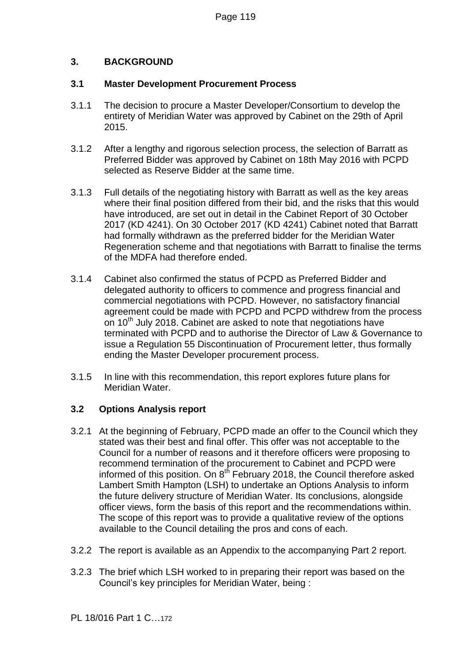# **3. BACKGROUND**

### **3.1 Master Development Procurement Process**

- 3.1.1 The decision to procure a Master Developer/Consortium to develop the entirety of Meridian Water was approved by Cabinet on the 29th of April 2015.
- 3.1.2 After a lengthy and rigorous selection process, the selection of Barratt as Preferred Bidder was approved by Cabinet on 18th May 2016 with PCPD selected as Reserve Bidder at the same time.
- 3.1.3 Full details of the negotiating history with Barratt as well as the key areas where their final position differed from their bid, and the risks that this would have introduced, are set out in detail in the Cabinet Report of 30 October 2017 (KD 4241). On 30 October 2017 (KD 4241) Cabinet noted that Barratt had formally withdrawn as the preferred bidder for the Meridian Water Regeneration scheme and that negotiations with Barratt to finalise the terms of the MDFA had therefore ended.
- 3.1.4 Cabinet also confirmed the status of PCPD as Preferred Bidder and delegated authority to officers to commence and progress financial and commercial negotiations with PCPD. However, no satisfactory financial agreement could be made with PCPD and PCPD withdrew from the process on 10<sup>th</sup> July 2018. Cabinet are asked to note that negotiations have terminated with PCPD and to authorise the Director of Law & Governance to issue a Regulation 55 Discontinuation of Procurement letter, thus formally ending the Master Developer procurement process.
- 3.1.5 In line with this recommendation, this report explores future plans for Meridian Water.

# **3.2 Options Analysis report**

- 3.2.1 At the beginning of February, PCPD made an offer to the Council which they stated was their best and final offer. This offer was not acceptable to the Council for a number of reasons and it therefore officers were proposing to recommend termination of the procurement to Cabinet and PCPD were informed of this position. On  $8<sup>th</sup>$  February 2018, the Council therefore asked Lambert Smith Hampton (LSH) to undertake an Options Analysis to inform the future delivery structure of Meridian Water. Its conclusions, alongside officer views, form the basis of this report and the recommendations within. The scope of this report was to provide a qualitative review of the options available to the Council detailing the pros and cons of each.
- 3.2.2 The report is available as an Appendix to the accompanying Part 2 report.
- 3.2.3 The brief which LSH worked to in preparing their report was based on the Council's key principles for Meridian Water, being :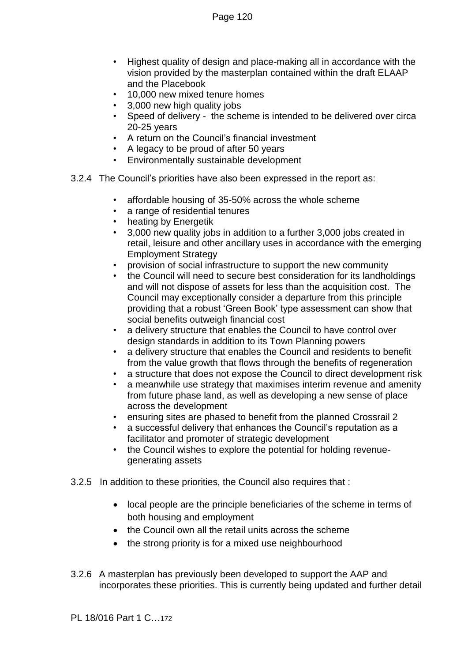- Highest quality of design and place-making all in accordance with the vision provided by the masterplan contained within the draft ELAAP and the Placebook
- 10,000 new mixed tenure homes
- 3,000 new high quality jobs
- Speed of delivery the scheme is intended to be delivered over circa 20-25 years
- A return on the Council's financial investment
- A legacy to be proud of after 50 years
- Environmentally sustainable development
- 3.2.4 The Council's priorities have also been expressed in the report as:
	- affordable housing of 35-50% across the whole scheme
	- a range of residential tenures
	- heating by Energetik
	- 3,000 new quality jobs in addition to a further 3,000 jobs created in retail, leisure and other ancillary uses in accordance with the emerging Employment Strategy
	- provision of social infrastructure to support the new community
	- the Council will need to secure best consideration for its landholdings and will not dispose of assets for less than the acquisition cost. The Council may exceptionally consider a departure from this principle providing that a robust 'Green Book' type assessment can show that social benefits outweigh financial cost
	- a delivery structure that enables the Council to have control over design standards in addition to its Town Planning powers
	- a delivery structure that enables the Council and residents to benefit from the value growth that flows through the benefits of regeneration
	- a structure that does not expose the Council to direct development risk
	- a meanwhile use strategy that maximises interim revenue and amenity from future phase land, as well as developing a new sense of place across the development
	- ensuring sites are phased to benefit from the planned Crossrail 2
	- a successful delivery that enhances the Council's reputation as a facilitator and promoter of strategic development
	- the Council wishes to explore the potential for holding revenuegenerating assets
- 3.2.5 In addition to these priorities, the Council also requires that :
	- local people are the principle beneficiaries of the scheme in terms of both housing and employment
	- the Council own all the retail units across the scheme
	- the strong priority is for a mixed use neighbourhood
- 3.2.6 A masterplan has previously been developed to support the AAP and incorporates these priorities. This is currently being updated and further detail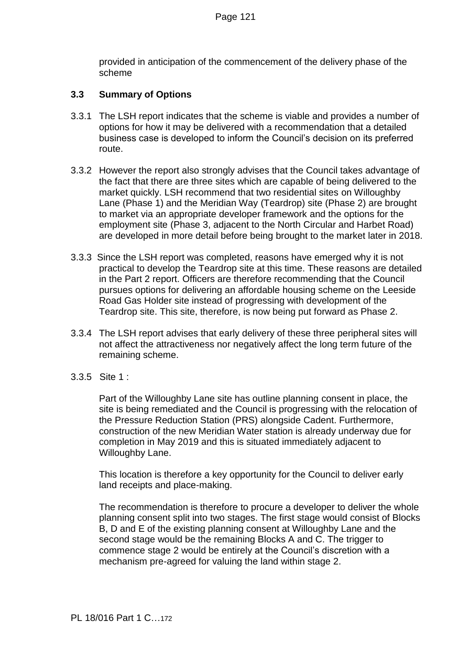provided in anticipation of the commencement of the delivery phase of the scheme

# **3.3 Summary of Options**

- 3.3.1 The LSH report indicates that the scheme is viable and provides a number of options for how it may be delivered with a recommendation that a detailed business case is developed to inform the Council's decision on its preferred route.
- 3.3.2 However the report also strongly advises that the Council takes advantage of the fact that there are three sites which are capable of being delivered to the market quickly. LSH recommend that two residential sites on Willoughby Lane (Phase 1) and the Meridian Way (Teardrop) site (Phase 2) are brought to market via an appropriate developer framework and the options for the employment site (Phase 3, adjacent to the North Circular and Harbet Road) are developed in more detail before being brought to the market later in 2018.
- 3.3.3 Since the LSH report was completed, reasons have emerged why it is not practical to develop the Teardrop site at this time. These reasons are detailed in the Part 2 report. Officers are therefore recommending that the Council pursues options for delivering an affordable housing scheme on the Leeside Road Gas Holder site instead of progressing with development of the Teardrop site. This site, therefore, is now being put forward as Phase 2.
- 3.3.4 The LSH report advises that early delivery of these three peripheral sites will not affect the attractiveness nor negatively affect the long term future of the remaining scheme.
- 3.3.5 Site 1 :

Part of the Willoughby Lane site has outline planning consent in place, the site is being remediated and the Council is progressing with the relocation of the Pressure Reduction Station (PRS) alongside Cadent. Furthermore, construction of the new Meridian Water station is already underway due for completion in May 2019 and this is situated immediately adjacent to Willoughby Lane.

This location is therefore a key opportunity for the Council to deliver early land receipts and place-making.

The recommendation is therefore to procure a developer to deliver the whole planning consent split into two stages. The first stage would consist of Blocks B, D and E of the existing planning consent at Willoughby Lane and the second stage would be the remaining Blocks A and C. The trigger to commence stage 2 would be entirely at the Council's discretion with a mechanism pre-agreed for valuing the land within stage 2.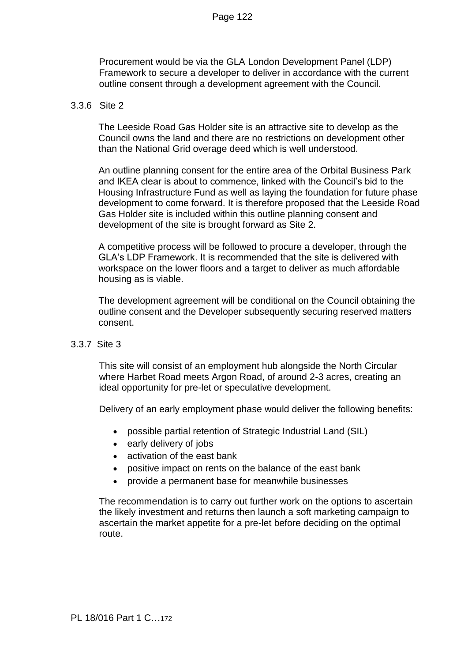Procurement would be via the GLA London Development Panel (LDP) Framework to secure a developer to deliver in accordance with the current outline consent through a development agreement with the Council.

#### 3.3.6 Site 2

The Leeside Road Gas Holder site is an attractive site to develop as the Council owns the land and there are no restrictions on development other than the National Grid overage deed which is well understood.

An outline planning consent for the entire area of the Orbital Business Park and IKEA clear is about to commence, linked with the Council's bid to the Housing Infrastructure Fund as well as laying the foundation for future phase development to come forward. It is therefore proposed that the Leeside Road Gas Holder site is included within this outline planning consent and development of the site is brought forward as Site 2.

A competitive process will be followed to procure a developer, through the GLA's LDP Framework. It is recommended that the site is delivered with workspace on the lower floors and a target to deliver as much affordable housing as is viable.

The development agreement will be conditional on the Council obtaining the outline consent and the Developer subsequently securing reserved matters consent.

#### 3.3.7 Site 3

This site will consist of an employment hub alongside the North Circular where Harbet Road meets Argon Road, of around 2-3 acres, creating an ideal opportunity for pre-let or speculative development.

Delivery of an early employment phase would deliver the following benefits:

- possible partial retention of Strategic Industrial Land (SIL)
- early delivery of jobs
- activation of the east bank
- positive impact on rents on the balance of the east bank
- provide a permanent base for meanwhile businesses

The recommendation is to carry out further work on the options to ascertain the likely investment and returns then launch a soft marketing campaign to ascertain the market appetite for a pre-let before deciding on the optimal route.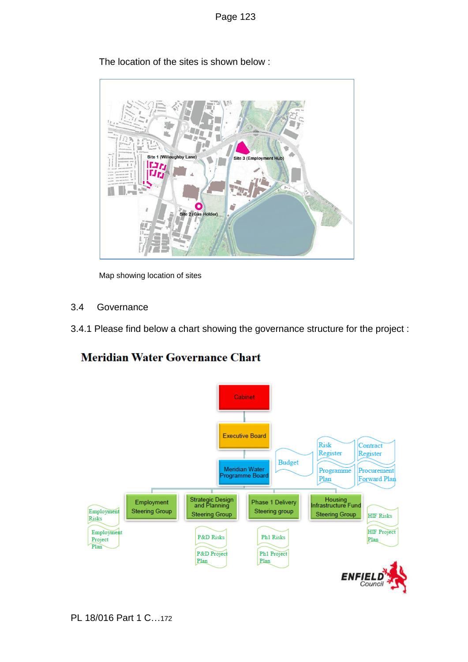

The location of the sites is shown below :

Map showing location of sites

- 3.4 Governance
- 3.4.1 Please find below a chart showing the governance structure for the project :

# **Meridian Water Governance Chart**

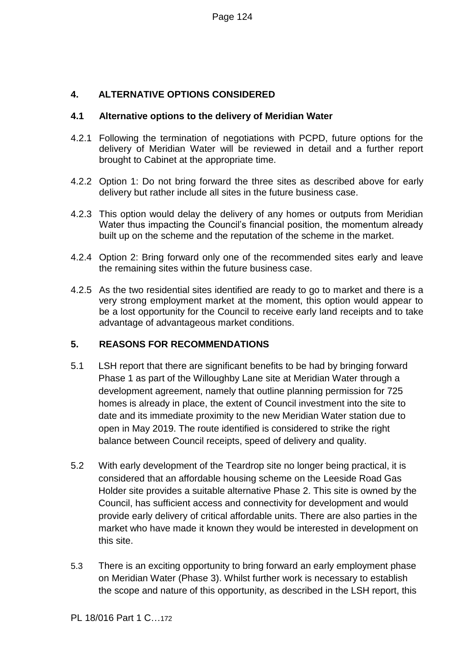# **4. ALTERNATIVE OPTIONS CONSIDERED**

### **4.1 Alternative options to the delivery of Meridian Water**

- 4.2.1 Following the termination of negotiations with PCPD, future options for the delivery of Meridian Water will be reviewed in detail and a further report brought to Cabinet at the appropriate time.
- 4.2.2 Option 1: Do not bring forward the three sites as described above for early delivery but rather include all sites in the future business case.
- 4.2.3 This option would delay the delivery of any homes or outputs from Meridian Water thus impacting the Council's financial position, the momentum already built up on the scheme and the reputation of the scheme in the market.
- 4.2.4 Option 2: Bring forward only one of the recommended sites early and leave the remaining sites within the future business case.
- 4.2.5 As the two residential sites identified are ready to go to market and there is a very strong employment market at the moment, this option would appear to be a lost opportunity for the Council to receive early land receipts and to take advantage of advantageous market conditions.

# **5. REASONS FOR RECOMMENDATIONS**

- 5.1 LSH report that there are significant benefits to be had by bringing forward Phase 1 as part of the Willoughby Lane site at Meridian Water through a development agreement, namely that outline planning permission for 725 homes is already in place, the extent of Council investment into the site to date and its immediate proximity to the new Meridian Water station due to open in May 2019. The route identified is considered to strike the right balance between Council receipts, speed of delivery and quality.
- 5.2 With early development of the Teardrop site no longer being practical, it is considered that an affordable housing scheme on the Leeside Road Gas Holder site provides a suitable alternative Phase 2. This site is owned by the Council, has sufficient access and connectivity for development and would provide early delivery of critical affordable units. There are also parties in the market who have made it known they would be interested in development on this site.
- 5.3 There is an exciting opportunity to bring forward an early employment phase on Meridian Water (Phase 3). Whilst further work is necessary to establish the scope and nature of this opportunity, as described in the LSH report, this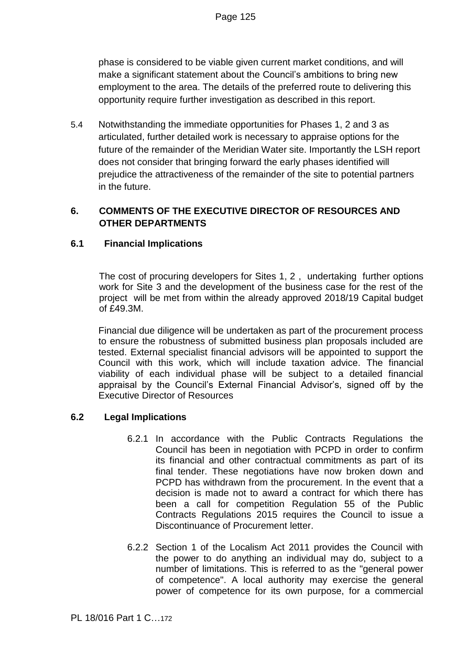phase is considered to be viable given current market conditions, and will make a significant statement about the Council's ambitions to bring new employment to the area. The details of the preferred route to delivering this opportunity require further investigation as described in this report.

5.4 Notwithstanding the immediate opportunities for Phases 1, 2 and 3 as articulated, further detailed work is necessary to appraise options for the future of the remainder of the Meridian Water site. Importantly the LSH report does not consider that bringing forward the early phases identified will prejudice the attractiveness of the remainder of the site to potential partners in the future.

# **6. COMMENTS OF THE EXECUTIVE DIRECTOR OF RESOURCES AND OTHER DEPARTMENTS**

# **6.1 Financial Implications**

The cost of procuring developers for Sites 1, 2 , undertaking further options work for Site 3 and the development of the business case for the rest of the project will be met from within the already approved 2018/19 Capital budget of £49.3M.

Financial due diligence will be undertaken as part of the procurement process to ensure the robustness of submitted business plan proposals included are tested. External specialist financial advisors will be appointed to support the Council with this work, which will include taxation advice. The financial viability of each individual phase will be subject to a detailed financial appraisal by the Council's External Financial Advisor's, signed off by the Executive Director of Resources

# **6.2 Legal Implications**

- 6.2.1 In accordance with the Public Contracts Regulations the Council has been in negotiation with PCPD in order to confirm its financial and other contractual commitments as part of its final tender. These negotiations have now broken down and PCPD has withdrawn from the procurement. In the event that a decision is made not to award a contract for which there has been a call for competition Regulation 55 of the Public Contracts Regulations 2015 requires the Council to issue a Discontinuance of Procurement letter.
- 6.2.2 Section 1 of the Localism Act 2011 provides the Council with the power to do anything an individual may do, subject to a number of limitations. This is referred to as the "general power of competence". A local authority may exercise the general power of competence for its own purpose, for a commercial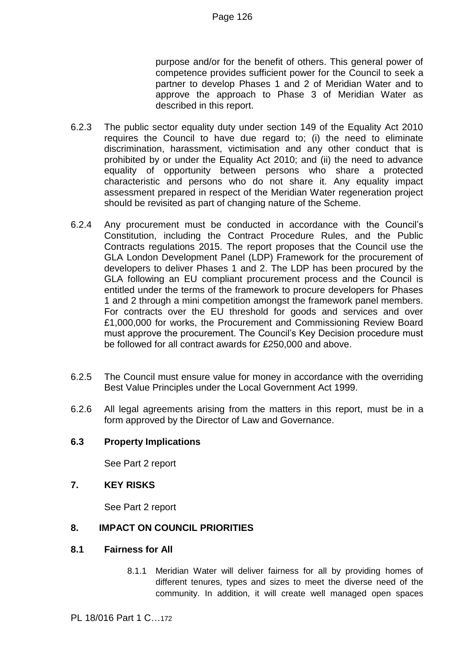purpose and/or for the benefit of others. This general power of competence provides sufficient power for the Council to seek a partner to develop Phases 1 and 2 of Meridian Water and to approve the approach to Phase 3 of Meridian Water as described in this report.

- 6.2.3 The public sector equality duty under section 149 of the Equality Act 2010 requires the Council to have due regard to; (i) the need to eliminate discrimination, harassment, victimisation and any other conduct that is prohibited by or under the Equality Act 2010; and (ii) the need to advance equality of opportunity between persons who share a protected characteristic and persons who do not share it. Any equality impact assessment prepared in respect of the Meridian Water regeneration project should be revisited as part of changing nature of the Scheme.
- 6.2.4 Any procurement must be conducted in accordance with the Council's Constitution, including the Contract Procedure Rules, and the Public Contracts regulations 2015. The report proposes that the Council use the GLA London Development Panel (LDP) Framework for the procurement of developers to deliver Phases 1 and 2. The LDP has been procured by the GLA following an EU compliant procurement process and the Council is entitled under the terms of the framework to procure developers for Phases 1 and 2 through a mini competition amongst the framework panel members. For contracts over the EU threshold for goods and services and over £1,000,000 for works, the Procurement and Commissioning Review Board must approve the procurement. The Council's Key Decision procedure must be followed for all contract awards for £250,000 and above.
- 6.2.5 The Council must ensure value for money in accordance with the overriding Best Value Principles under the Local Government Act 1999.
- 6.2.6 All legal agreements arising from the matters in this report, must be in a form approved by the Director of Law and Governance.

#### **6.3 Property Implications**

See Part 2 report

#### **7. KEY RISKS**

See Part 2 report

#### **8. IMPACT ON COUNCIL PRIORITIES**

#### **8.1 Fairness for All**

8.1.1 Meridian Water will deliver fairness for all by providing homes of different tenures, types and sizes to meet the diverse need of the community. In addition, it will create well managed open spaces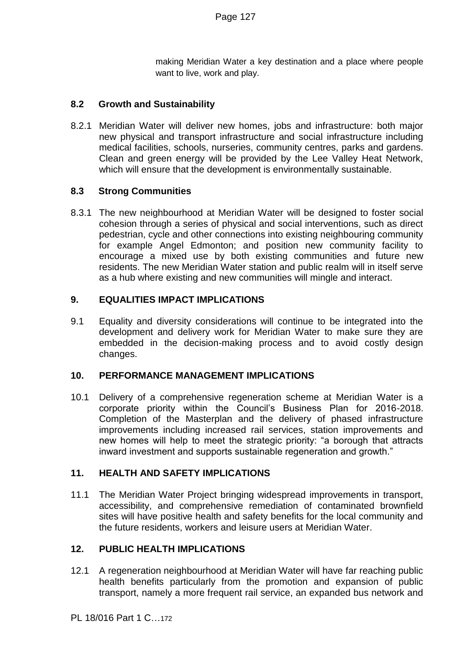making Meridian Water a key destination and a place where people want to live, work and play.

### **8.2 Growth and Sustainability**

8.2.1 Meridian Water will deliver new homes, jobs and infrastructure: both major new physical and transport infrastructure and social infrastructure including medical facilities, schools, nurseries, community centres, parks and gardens. Clean and green energy will be provided by the Lee Valley Heat Network, which will ensure that the development is environmentally sustainable.

### **8.3 Strong Communities**

8.3.1 The new neighbourhood at Meridian Water will be designed to foster social cohesion through a series of physical and social interventions, such as direct pedestrian, cycle and other connections into existing neighbouring community for example Angel Edmonton; and position new community facility to encourage a mixed use by both existing communities and future new residents. The new Meridian Water station and public realm will in itself serve as a hub where existing and new communities will mingle and interact.

### **9. EQUALITIES IMPACT IMPLICATIONS**

9.1 Equality and diversity considerations will continue to be integrated into the development and delivery work for Meridian Water to make sure they are embedded in the decision-making process and to avoid costly design changes.

#### **10. PERFORMANCE MANAGEMENT IMPLICATIONS**

10.1 Delivery of a comprehensive regeneration scheme at Meridian Water is a corporate priority within the Council's Business Plan for 2016-2018. Completion of the Masterplan and the delivery of phased infrastructure improvements including increased rail services, station improvements and new homes will help to meet the strategic priority: "a borough that attracts inward investment and supports sustainable regeneration and growth."

#### **11. HEALTH AND SAFETY IMPLICATIONS**

11.1 The Meridian Water Project bringing widespread improvements in transport, accessibility, and comprehensive remediation of contaminated brownfield sites will have positive health and safety benefits for the local community and the future residents, workers and leisure users at Meridian Water.

#### **12. PUBLIC HEALTH IMPLICATIONS**

12.1 A regeneration neighbourhood at Meridian Water will have far reaching public health benefits particularly from the promotion and expansion of public transport, namely a more frequent rail service, an expanded bus network and